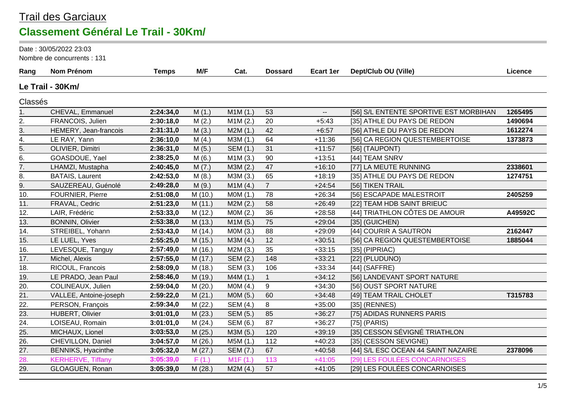#### Trail des Garciaux **Classement Général Le Trail - 30Km/**

Date : 30/05/2022 23:03

Nombre de concurrents : 131

| Rang              | <b>Nom Prénom</b>         | <b>Temps</b> | M/F     | Cat.     | <b>Dossard</b> | <b>Ecart 1er</b>         | Dept/Club OU (Ville)                   | Licence |
|-------------------|---------------------------|--------------|---------|----------|----------------|--------------------------|----------------------------------------|---------|
|                   | Le Trail - 30Km/          |              |         |          |                |                          |                                        |         |
| Classés           |                           |              |         |          |                |                          |                                        |         |
| 1.                | CHEVAL, Emmanuel          | 2:24:34,0    | M(1.)   | M1M(1.)  | 53             | $\overline{\phantom{a}}$ | [56] S/L ENTENTE SPORTIVE EST MORBIHAN | 1265495 |
| 2.                | FRANCOIS, Julien          | 2:30:18,0    | M(2.)   | M1M(2.)  | 20             | $+5:43$                  | [35] ATHLE DU PAYS DE REDON            | 1490694 |
| 3.                | HEMERY, Jean-francois     | 2:31:31,0    | M(3.)   | M2M(1.)  | 42             | $+6:57$                  | [56] ATHLE DU PAYS DE REDON            | 1612274 |
| 4.                | LE RAY, Yann              | 2:36:10,0    | M(4.)   | M3M (1.) | 64             | $+11:36$                 | [56] CA REGION QUESTEMBERTOISE         | 1373873 |
| $\overline{5}$ .  | OLIVIER, Dimitri          | 2:36:31,0    | M(5.)   | SEM (1.) | 31             | $+11:57$                 | $[56]$ (TAUPONT)                       |         |
| 6.                | GOASDOUE, Yael            | 2:38:25,0    | M(6.)   | M1M(3.)  | 90             | $+13:51$                 | [44] TEAM SNRV                         |         |
| 7.                | LHAMZI, Mustapha          | 2:40:45,0    | M(7.)   | M3M (2.) | 47             | $+16:10$                 | [77] LA MEUTE RUNNING                  | 2338601 |
| 8.                | <b>BATAIS, Laurent</b>    | 2:42:53,0    | M(8.)   | M3M (3.) | 65             | $+18:19$                 | [35] ATHLE DU PAYS DE REDON            | 1274751 |
| 9.                | SAUZEREAU, Guénolé        | 2:49:28,0    | M(9.)   | M1M(4.)  | $\overline{7}$ | $+24:54$                 | [56] TIKEN TRAIL                       |         |
| 10.               | <b>FOURNIER, Pierre</b>   | 2:51:08,0    | M (10.) | MOM(1.)  | 78             | $+26:34$                 | [56] ESCAPADE MALESTROIT               | 2405259 |
| 11.               | FRAVAL, Cedric            | 2:51:23,0    | M(11.)  | M2M(2.)  | 58             | $+26:49$                 | [22] TEAM HDB SAINT BRIEUC             |         |
| 12.               | LAIR, Frédéric            | 2:53:33,0    | M (12.) | MOM(2.)  | 36             | $+28:58$                 | [44] TRIATHLON CÔTES DE AMOUR          | A49592C |
| 13.               | <b>BONNIN, Olivier</b>    | 2:53:38,0    | M (13.) | M1M(5.)  | 75             | $+29:04$                 | [35] (GUICHEN)                         |         |
| 14.               | STREIBEL, Yohann          | 2:53:43,0    | M (14.) | MOM(3.)  | 88             | $+29:09$                 | [44] COURIR A SAUTRON                  | 2162447 |
| 15.               | LE LUEL, Yves             | 2:55:25,0    | M (15.) | M3M (4.) | 12             | $+30:51$                 | [56] CA REGION QUESTEMBERTOISE         | 1885044 |
| 16.               | LEVESQUE, Tanguy          | 2:57:49,0    | M (16.) | M2M(3.)  | 35             | $+33:15$                 | $[35]$ (PIPRIAC)                       |         |
| 17.               | Michel, Alexis            | 2:57:55,0    | M (17.) | SEM (2.) | 148            | $+33:21$                 | [22] (PLUDUNO)                         |         |
| 18.               | RICOUL, Francois          | 2:58:09,0    | M (18.) | SEM (3.) | 106            | $+33:34$                 | $[44]$ (SAFFRE)                        |         |
| 19.               | LE PRADO, Jean Paul       | 2:58:46,0    | M (19.) | M4M(1.)  | $\mathbf{1}$   | $+34:12$                 | [56] LANDEVANT SPORT NATURE            |         |
| 20.               | COLINEAUX, Julien         | 2:59:04,0    | M(20.)  | MOM(4.)  | 9              | $+34:30$                 | [56] OUST SPORT NATURE                 |         |
| 21.               | VALLEE, Antoine-joseph    | 2:59:22,0    | M(21.)  | M0M (5.) | 60             | $+34:48$                 | [49] TEAM TRAIL CHOLET                 | T315783 |
| 22.               | PERSON, François          | 2:59:34,0    | M (22.) | SEM (4.) | 8              | $+35:00$                 | [35] (RENNES)                          |         |
| 23.               | HUBERT, Olivier           | 3:01:01,0    | M(23.)  | SEM (5.) | 85             | $+36:27$                 | [75] ADIDAS RUNNERS PARIS              |         |
| $\overline{24}$ . | LOISEAU, Romain           | 3:01:01,0    | M(24.)  | SEM (6.) | 87             | $+36:27$                 | $[75]$ (PARIS)                         |         |
| 25.               | MICHAUX, Lionel           | 3:03:53,0    | M (25.) | M3M (5.) | 120            | $+39:19$                 | [35] CESSON SÉVIGNÉ TRIATHLON          |         |
| 26.               | CHEVILLON, Daniel         | 3:04:57,0    | M (26.) | M5M (1.) | 112            | $+40:23$                 | [35] (CESSON SEVIGNE)                  |         |
| 27.               | <b>BENNIKS, Hyacinthe</b> | 3:05:32,0    | M (27.) | SEM (7.) | 67             | $+40:58$                 | [44] S/L ESC OCEAN 44 SAINT NAZAIRE    | 2378096 |
| 28.               | <b>KERHERVE, Tiffany</b>  | 3:05:39,0    | F(1.)   | M1F(1.)  | 113            | $+41:05$                 | [29] LES FOULÉES CONCARNOISES          |         |
| 29.               | GLOAGUEN, Ronan           | 3:05:39,0    | M(28.)  | M2M(4.)  | 57             | $+41:05$                 | [29] LES FOULÉES CONCARNOISES          |         |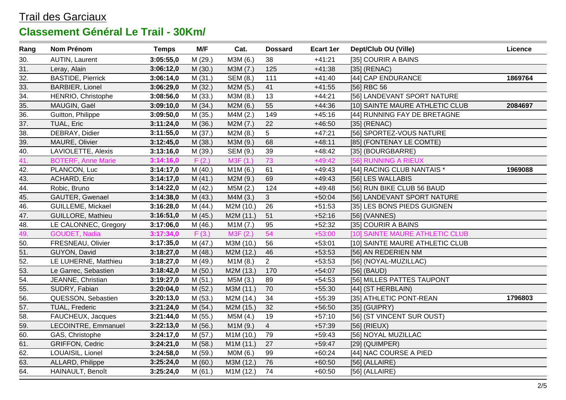| Rang              | Nom Prénom                | <b>Temps</b> | M/F     | Cat.      | <b>Dossard</b> | <b>Ecart 1er</b> | Dept/Club OU (Ville)            | Licence |
|-------------------|---------------------------|--------------|---------|-----------|----------------|------------------|---------------------------------|---------|
| 30.               | <b>AUTIN, Laurent</b>     | 3:05:55,0    | M (29.) | M3M (6.)  | 38             | $+41:21$         | [35] COURIR A BAINS             |         |
| 31.               | Leray, Alain              | 3:06:12,0    | M(30.)  | M3M (7.)  | 125            | $+41:38$         | $[35]$ (RENAC)                  |         |
| 32.               | <b>BASTIDE, Pierrick</b>  | 3:06:14,0    | M(31.)  | SEM (8.)  | 111            | $+41:40$         | [44] CAP ENDURANCE              | 1869764 |
| 33.               | <b>BARBIER, Lionel</b>    | 3:06:29,0    | M (32.) | M2M (5.)  | 41             | $+41:55$         | [56] RBC 56                     |         |
| $\overline{34}$ . | HENRIO, Christophe        | 3:08:56,0    | M (33.) | M3M (8.)  | 13             | $+44:21$         | [56] LANDEVANT SPORT NATURE     |         |
| 35.               | MAUGIN, Gaël              | 3:09:10,0    | M (34.) | M2M(6.)   | 55             | $+44:36$         | [10] SAINTE MAURE ATHLETIC CLUB | 2084697 |
| 36.               | Guitton, Philippe         | 3:09:50,0    | M (35.) | M4M (2.)  | 149            | $+45:16$         | [44] RUNNING FAY DE BRETAGNE    |         |
| 37.               | TUAL, Eric                | 3:11:24,0    | M (36.) | M2M(7.)   | 22             | $+46:50$         | $[35]$ (RENAC)                  |         |
| 38.               | DEBRAY, Didier            | 3:11:55,0    | M (37.) | M2M(8.)   | 5              | $+47:21$         | [56] SPORTEZ-VOUS NATURE        |         |
| 39.               | MAURE, Olivier            | 3:12:45,0    | M (38.) | M3M (9.)  | 68             | $+48:11$         | [85] (FONTENAY LE COMTE)        |         |
| 40.               | LAVIOLETTE, Alexis        | 3:13:16,0    | M (39.) | SEM (9.)  | 39             | $+48:42$         | [35] (BOURGBARRE)               |         |
| 41.               | <b>BOTERF, Anne Marie</b> | 3:14:16,0    | F(2.)   | M3F (1.)  | 73             | $+49:42$         | [56] RUNNING A RIEUX            |         |
| 42.               | PLANCON, Luc              | 3:14:17,0    | M (40.) | M1M(6.)   | 61             | $+49:43$         | [44] RACING CLUB NANTAIS *      | 1969088 |
| 43.               | ACHARD, Eric              | 3:14:17,0    | M(41.)  | M2M (9.)  | 69             | $+49:43$         | [56] LES WALLABIS               |         |
| $\overline{44}$ . | Robic, Bruno              | 3:14:22,0    | M (42.) | M5M(2.)   | 124            | $+49:48$         | [56] RUN BIKE CLUB 56 BAUD      |         |
| 45.               | GAUTER, Gwenael           | 3:14:38,0    | M (43.) | M4M (3.)  | 3              | $+50:04$         | [56] LANDEVANT SPORT NATURE     |         |
| 46.               | <b>GUILLEME, Mickael</b>  | 3:16:28,0    | M (44.) | M2M (10.) | 26             | $+51:53$         | [35] LES BONS PIEDS GUIGNEN     |         |
| 47.               | <b>GUILLORE, Mathieu</b>  | 3:16:51,0    | M (45.) | M2M (11.) | 51             | $+52:16$         | [56] (VANNES)                   |         |
| 48.               | LE CALONNEC, Gregory      | 3:17:06,0    | M (46.) | M1M(7.)   | 95             | $+52:32$         | [35] COURIR A BAINS             |         |
| 49.               | GOUDET, Nadia             | 3:17:34,0    | F(3.)   | M3F (2.)  | 54             | $+53:00$         | [10] SAINTE MAURE ATHLETIC CLUB |         |
| 50.               | FRESNEAU, Olivier         | 3:17:35,0    | M(47.)  | M3M (10.) | 56             | $+53:01$         | [10] SAINTE MAURE ATHLETIC CLUB |         |
| 51.               | GUYON, David              | 3:18:27,0    | M (48.) | M2M (12.) | 46             | $+53:53$         | [56] AN REDERIEN NM             |         |
| 52.               | LE LUHERNE, Matthieu      | 3:18:27,0    | M (49.) | M1M(8.)   | $\overline{2}$ | $+53:53$         | [56] (NOYAL-MUZILLAC)           |         |
| 53.               | Le Garrec, Sebastien      | 3:18:42,0    | M(50.)  | M2M (13.) | 170            | $+54:07$         | $[56]$ (BAUD)                   |         |
| 54.               | JEANNE, Christian         | 3:19:27,0    | M(51.)  | M5M (3.)  | 89             | $+54:53$         | [56] MILLES PATTES TAUPONT      |         |
| 55.               | SUDRY, Fabian             | 3:20:04,0    | M (52.) | M3M (11.) | 70             | $+55:30$         | [44] (ST HERBLAIN)              |         |
| 56.               | QUESSON, Sebastien        | 3:20:13,0    | M (53.) | M2M (14.) | 34             | $+55:39$         | [35] ATHLETIC PONT-REAN         | 1796803 |
| 57.               | TUAL, Frederic            | 3:21:24,0    | M (54.) | M2M (15.) | 32             | $+56:50$         | $[35]$ (GUIPRY)                 |         |
| 58.               | FAUCHEUX, Jacques         | 3:21:44,0    | M (55.) | M5M (4.)  | 19             | $+57:10$         | [56] (ST VINCENT SUR OUST)      |         |
| 59.               | LECOINTRE, Emmanuel       | 3:22:13,0    | M (56.) | M1M (9.)  | $\overline{4}$ | $+57:39$         | $[56]$ (RIEUX)                  |         |
| 60.               | GAS, Christophe           | 3:24:17,0    | M (57.) | M1M (10.) | 79             | $+59:43$         | [56] NOYAL MUZILLAC             |         |
| 61.               | <b>GRIFFON, Cedric</b>    | 3:24:21,0    | M (58.) | M1M (11.) | 27             | $+59:47$         | $[29]$ (QUIMPER)                |         |
| 62.               | LOUAISIL, Lionel          | 3:24:58,0    | M (59.) | MOM(6.)   | 99             | $+60:24$         | [44] NAC COURSE A PIED          |         |
| 63.               | ALLARD, Philippe          | 3:25:24,0    | M(60.)  | M3M (12.) | 76             | $+60:50$         | $[56]$ (ALLAIRE)                |         |
| 64.               | HAINAULT, Benoît          | 3:25:24,0    | M(61.)  | M1M (12.) | 74             | $+60:50$         | $[56]$ (ALLAIRE)                |         |
|                   |                           |              |         |           |                |                  |                                 |         |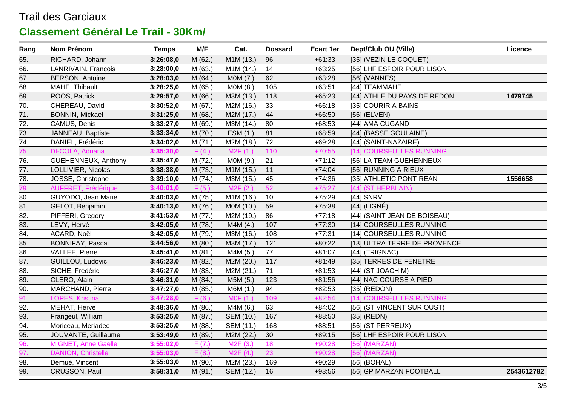| Rang              | Nom Prénom                | <b>Temps</b> | M/F     | Cat.                  | <b>Dossard</b> | <b>Ecart 1er</b> | Dept/Club OU (Ville)         | <b>Licence</b> |
|-------------------|---------------------------|--------------|---------|-----------------------|----------------|------------------|------------------------------|----------------|
| 65.               | RICHARD, Johann           | 3:26:08,0    | M (62.) | M1M (13.)             | 96             | $+61:33$         | [35] (VEZIN LE COQUET)       |                |
| 66.               | LANRIVAIN, Francois       | 3:28:00,0    | M(63.)  | M1M (14.)             | 14             | $+63:25$         | [56] LHF ESPOIR POUR LISON   |                |
| 67.               | <b>BERSON, Antoine</b>    | 3:28:03,0    | M(64.)  | MOM(7.)               | 62             | $+63:28$         | [56] (VANNES)                |                |
| 68.               | MAHE, Thibault            | 3:28:25,0    | M (65.) | MOM(8.)               | 105            | $+63:51$         | [44] TEAMMAHE                |                |
| 69.               | ROOS, Patrick             | 3:29:57,0    | M(66.)  | M3M (13.)             | 118            | $+65:23$         | [44] ATHLE DU PAYS DE REDON  | 1479745        |
| 70.               | CHEREAU, David            | 3:30:52,0    | M(67.)  | M2M (16.)             | 33             | $+66:18$         | [35] COURIR A BAINS          |                |
| 71.               | BONNIN, Mickael           | 3:31:25,0    | M(68.)  | M2M (17.)             | 44             | $+66:50$         | [56] (ELVEN)                 |                |
| 72.               | CAMUS, Denis              | 3:33:27,0    | M (69.) | M3M (14.)             | 80             | $+68:53$         | [44] AMA CUGAND              |                |
| 73.               | JANNEAU, Baptiste         | 3:33:34,0    | M (70.) | ESM (1.)              | 81             | $+68:59$         | [44] (BASSE GOULAINE)        |                |
| $\overline{74}$ . | DANIEL, Frédéric          | 3:34:02,0    | M(71.)  | M2M (18.)             | 72             | $+69:28$         | [44] (SAINT-NAZAIRE)         |                |
| 75.               | DI-COLA, Adriana          | 3:35:30,0    | F(4.)   | M2F(1.)               | 110            | $+70:55$         | [14] COURSEULLES RUNNING     |                |
| 76.               | GUEHENNEUX, Anthony       | 3:35:47,0    | M (72.) | M0M (9.)              | 21             | $+71:12$         | [56] LA TEAM GUEHENNEUX      |                |
| 77.               | LOLLIVIER, Nicolas        | 3:38:38,0    | M (73.) | M1M (15.)             | 11             | $+74:04$         | [56] RUNNING A RIEUX         |                |
| 78.               | JOSSE, Christophe         | 3:39:10,0    | M(74.)  | M3M (15.)             | 45             | $+74:36$         | [35] ATHLETIC PONT-REAN      | 1556658        |
| 79.               | AUFFRET, Frédérique       | 3:40:01,0    | F(5.)   | M <sub>2</sub> F (2.) | 52             | $+75:27$         | [44] (ST HERBLAIN)           |                |
| 80.               | GUYODO, Jean Marie        | 3:40:03,0    | M (75.) | M1M (16.)             | 10             | $+75:29$         | [44] SNRV                    |                |
| $\overline{81}$ . | GELOT, Benjamin           | 3:40:13,0    | M (76.) | M0M (10.)             | 59             | $+75:38$         | [44] (LIGNÉ)                 |                |
| 82.               | PIFFERI, Gregory          | 3:41:53,0    | M (77.) | M2M (19.)             | 86             | $+77:18$         | [44] (SAINT JEAN DE BOISEAU) |                |
| 83.               | LEVY, Hervé               | 3:42:05,0    | M (78.) | M4M (4.)              | 107            | $+77:30$         | [14] COURSEULLES RUNNING     |                |
| 84.               | ACARD, Noël               | 3:42:05,0    | M (79.) | M3M (16.)             | 108            | $+77:31$         | [14] COURSEULLES RUNNING     |                |
| 85.               | BONNIFAY, Pascal          | 3:44:56,0    | M (80.) | M3M (17.)             | 121            | $+80:22$         | [13] ULTRA TERRE DE PROVENCE |                |
| 86.               | VALLEE, Pierre            | 3:45:41,0    | M(81.)  | M4M (5.)              | 77             | $+81:07$         | $[44]$ (TRIGNAC)             |                |
| 87.               | GUILLOU, Ludovic          | 3:46:23,0    | M (82.) | M2M (20.)             | 117            | $+81:49$         | [35] TERRES DE FENETRE       |                |
| 88.               | SICHE, Frédéric           | 3:46:27,0    | M (83.) | M2M (21.)             | 71             | $+81:53$         | [44] (ST JOACHIM)            |                |
| 89.               | CLERO, Alain              | 3:46:31,0    | M (84.) | M5M (5.)              | 123            | $+81:56$         | [44] NAC COURSE A PIED       |                |
| 90.               | MARCHAND, Pierre          | 3:47:27,0    | M (85.) | M6M (1.)              | 94             | $+82:53$         | $[35]$ (REDON)               |                |
| 91.               | LOPES, Kristina           | 3:47:28,0    | F(6.)   | MOF(1.)               | 109            | $+82:54$         | [14] COURSEULLES RUNNING     |                |
| 92.               | MEHAT, Herve              | 3:48:36,0    | M(86.)  | M4M (6.)              | 63             | $+84:02$         | [56] (ST VINCENT SUR OUST)   |                |
| 93.               | Frangeul, William         | 3:53:25,0    | M (87.) | SEM (10.)             | 167            | $+88:50$         | $[35]$ (REDN)                |                |
| 94.               | Moriceau, Meriadec        | 3:53:25,0    | M (88.) | SEM (11.)             | 168            | $+88:51$         | [56] (ST PERREUX)            |                |
| 95.               | JOUVANTE, Guillaume       | 3:53:49,0    | M (89.) | M2M (22.)             | 30             | $+89:15$         | [56] LHF ESPOIR POUR LISON   |                |
| 96.               | MIGNET, Anne Gaelle       | 3:55:02,0    | F(7.)   | M <sub>2</sub> F (3.) | 18             | $+90:28$         | [56] (MARZAN)                |                |
| 97.               | <b>DANION, Christelle</b> | 3:55:03,0    | F(8.)   | M2F(4.)               | 23             | $+90:28$         | [56] (MARZAN)                |                |
| 98.               | Demué, Vincent            | 3:55:03,0    | M (90.) | M2M (23.)             | 169            | $+90:29$         | [56] (BOHAL)                 |                |
| 99.               | CRUSSON, Paul             | 3:58:31,0    | M (91.) | SEM (12.)             | 16             | +93:56           | [56] GP MARZAN FOOTBALL      | 2543612782     |
|                   |                           |              |         |                       |                |                  |                              |                |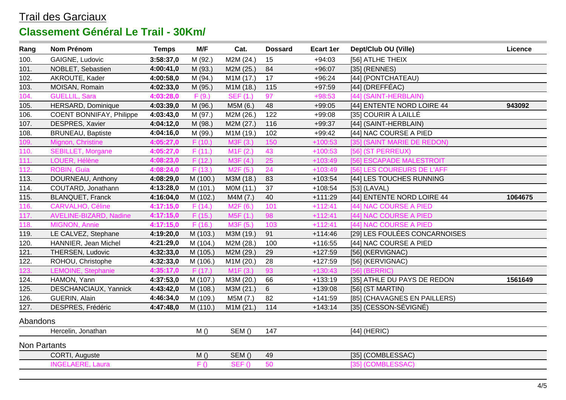| Rang         | Nom Prénom                      | <b>Temps</b> | M/F      | Cat.                  | <b>Dossard</b> | <b>Ecart 1er</b> | Dept/Club OU (Ville)          | Licence |
|--------------|---------------------------------|--------------|----------|-----------------------|----------------|------------------|-------------------------------|---------|
| 100.         | GAIGNE, Ludovic                 | 3:58:37,0    | M (92.)  | M2M (24.)             | 15             | $+94:03$         | [56] ATLHE THEIX              |         |
| 101.         | NOBLET, Sebastien               | 4:00:41,0    | M (93.)  | M2M (25.)             | 84             | $+96:07$         | $[35]$ (RENNES)               |         |
| 102.         | AKROUTE, Kader                  | 4:00:58,0    | M (94.)  | M1M (17.)             | 17             | $+96:24$         | [44] (PONTCHATEAU)            |         |
| 103.         | MOISAN, Romain                  | 4:02:33,0    | M (95.)  | M1M (18.)             | 115            | $+97:59$         | $[44]$ (DREFFÉAC)             |         |
| 104.         | <b>GUELLIL, Sara</b>            | 4:03:28,0    | F(9.)    | <b>SEF (1.)</b>       | 97             | $+98:53$         | [44] (SAINT-HERBLAIN)         |         |
| 105.         | <b>HERSARD, Dominique</b>       | 4:03:39,0    | M (96.)  | M5M (6.)              | 48             | $+99:05$         | [44] ENTENTE NORD LOIRE 44    | 943092  |
| 106.         | <b>COENT BONNIFAY, Philippe</b> | 4:03:43,0    | M (97.)  | M2M (26.)             | 122            | $+99:08$         | [35] COURIR À LAILLÉ          |         |
| 107.         | DESPRES, Xavier                 | 4:04:12,0    | M (98.)  | M2M (27.)             | 116            | $+99:37$         | [44] (SAINT-HERBLAIN)         |         |
| 108.         | <b>BRUNEAU, Baptiste</b>        | 4:04:16,0    | M (99.)  | M1M (19.)             | 102            | $+99:42$         | [44] NAC COURSE A PIED        |         |
| 109.         | Mignon, Christine               | 4:05:27,0    | F(10.)   | M3F (3.)              | 150            | $+100:53$        | [35] (SAINT MARIE DE REDON)   |         |
| 110.         | <b>SEBILLET, Morgane</b>        | 4:05:27,0    | F(11.)   | M <sub>1</sub> F (2.) | 43             | $+100:53$        | [56] (ST PERREUX)             |         |
| 111.         | LOUER, Hélène                   | 4:08:23,0    | F(12.)   | M3F (4.)              | 25             | $+103:49$        | [56] ESCAPADE MALESTROIT      |         |
| 112.         | <b>ROBIN, Guia</b>              | 4:08:24,0    | F(13.)   | M2F(5.)               | 24             | $+103:49$        | [56] LES COUREURS DE L'AFF    |         |
| 113.         | DOURNEAU, Anthony               | 4:08:29,0    | M (100.) | M3M (18.)             | 83             | $+103:54$        | [44] LES TOUCHES RUNNING      |         |
| 114.         | COUTARD, Jonathann              | 4:13:28,0    | M (101.) | M0M (11.)             | 37             | $+108:54$        | $[53]$ (LAVAL)                |         |
| 115.         | <b>BLANQUET, Franck</b>         | 4:16:04,0    | M (102.) | M4M (7.)              | 40             | $+111:29$        | [44] ENTENTE NORD LOIRE 44    | 1064675 |
| 116.         | <b>CARVALHO, Céline</b>         | 4:17:15,0    | F(14.)   | M2F (6.)              | 101            | $+112:41$        | [44] NAC COURSE A PIED        |         |
| 117.         | <b>AVELINE-BIZARD, Nadine</b>   | 4:17:15,0    | F(15.)   | M5F (1.)              | 98             | $+112:41$        | [44] NAC COURSE A PIED        |         |
| 118.         | MIGNON, Annie                   | 4:17:15,0    | F(16.)   | M3F (5.)              | 103            | $+112:41$        | [44] NAC COURSE A PIED        |         |
| 119.         | LE CALVEZ, Stephane             | 4:19:20,0    | M (103.) | M3M (19.)             | 91             | $+114:46$        | [29] LES FOULÉES CONCARNOISES |         |
| 120.         | HANNIER, Jean Michel            | 4:21:29,0    | M (104.) | M2M (28.)             | 100            | $+116:55$        | [44] NAC COURSE A PIED        |         |
| 121.         | THERSEN, Ludovic                | 4:32:33,0    | M (105.) | M2M (29.)             | 29             | $+127:59$        | [56] (KERVIGNAC)              |         |
| 122.         | ROHOU, Christophe               | 4:32:33,0    | M (106.) | M1M (20.)             | 28             | $+127:59$        | [56] (KERVIGNAC)              |         |
| 123.         | LEMOINE, Stephanie              | 4:35:17,0    | F(17.)   | M1F(3.)               | 93             | $+130:43$        | $[56]$ (BERRIC)               |         |
| 124.         | HAMON, Yann                     | 4:37:53,0    | M (107.) | M3M (20.)             | 66             | $+133:19$        | [35] ATHLE DU PAYS DE REDON   | 1561649 |
| 125.         | DESCHANCIAUX, Yannick           | 4:43:42,0    | M (108.) | M3M (21.)             | 6              | $+139:08$        | [56] (ST MARTIN)              |         |
| 126.         | GUERIN, Alain                   | 4:46:34,0    | M (109.) | M5M (7.)              | 82             | $+141:59$        | [85] (CHAVAGNES EN PAILLERS)  |         |
| 127.         | DESPRES, Frédéric               | 4:47:48,0    | M (110.) | M1M (21.)             | 114            | $+143:14$        | [35] (CESSON-SÉVIGNÉ)         |         |
| Abandons     |                                 |              |          |                       |                |                  |                               |         |
|              | Hercelin, Jonathan              |              | M()      | SEM()                 | 147            |                  | $[44]$ (HERIC)                |         |
| Non Partants |                                 |              |          |                       |                |                  |                               |         |
|              | CORTI, Auguste                  |              | M()      | SEM()                 | 49             |                  | [35] (COMBLESSAC)             |         |
|              | <b>INGELAERE, Laura</b>         |              | F()      | SEF()                 | 50             |                  | [35] (COMBLESSAC)             |         |